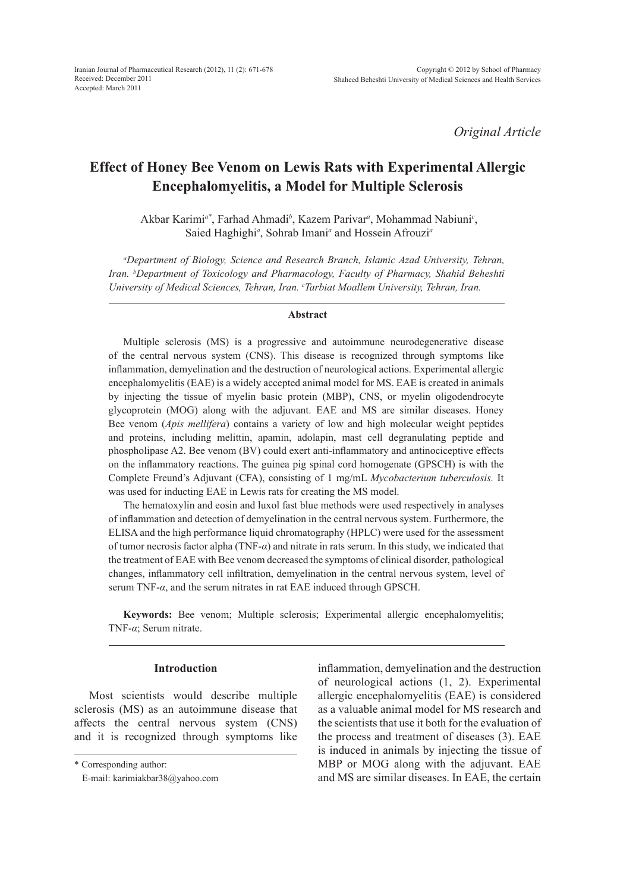*Original Article*

# **Effect of Honey Bee Venom on Lewis Rats with Experimental Allergic Encephalomyelitis, a Model for Multiple Sclerosis**

Akbar Karimi*a\**, Farhad Ahmadi*<sup>b</sup>* , Kazem Parivar*<sup>a</sup>* , Mohammad Nabiuni*<sup>c</sup>* , Saied Haghighi*<sup>a</sup>* , Sohrab Imani*<sup>a</sup>* and Hossein Afrouzi*<sup>a</sup>*

*a Department of Biology, Science and Research Branch, Islamic Azad University, Tehran, Iran. b Department of Toxicology and Pharmacology, Faculty of Pharmacy, Shahid Beheshti*  University of Medical Sciences, Tehran, Iran. <sup>c</sup>Tarbiat Moallem University, Tehran, Iran.

#### **Abstract**

Multiple sclerosis (MS) is a progressive and autoimmune neurodegenerative disease of the central nervous system (CNS). This disease is recognized through symptoms like inflammation, demyelination and the destruction of neurological actions. Experimental allergic encephalomyelitis (EAE) is a widely accepted animal model for MS. EAE is created in animals by injecting the tissue of myelin basic protein (MBP), CNS, or myelin oligodendrocyte glycoprotein (MOG) along with the adjuvant. EAE and MS are similar diseases. Honey Bee venom (*Apis mellifera*) contains a variety of low and high molecular weight peptides and proteins, including melittin, apamin, adolapin, mast cell degranulating peptide and phospholipase A2. Bee venom (BV) could exert anti-inflammatory and antinociceptive effects on the inflammatory reactions. The guinea pig spinal cord homogenate (GPSCH) is with the Complete Freund's Adjuvant (CFA), consisting of 1 mg/mL *Mycobacterium tuberculosis.* It was used for inducting EAE in Lewis rats for creating the MS model.

The hematoxylin and eosin and luxol fast blue methods were used respectively in analyses of inflammation and detection of demyelination in the central nervous system. Furthermore, the ELISA and the high performance liquid chromatography (HPLC) were used for the assessment of tumor necrosis factor alpha (TNF-*α*) and nitrate in rats serum. In this study, we indicated that the treatment of EAE with Bee venom decreased the symptoms of clinical disorder, pathological changes, inflammatory cell infiltration, demyelination in the central nervous system, level of serum TNF-*α*, and the serum nitrates in rat EAE induced through GPSCH.

**Keywords:** Bee venom; Multiple sclerosis; Experimental allergic encephalomyelitis; TNF-*α*; Serum nitrate.

## **Introduction**

Most scientists would describe multiple sclerosis (MS) as an autoimmune disease that affects the central nervous system (CNS) and it is recognized through symptoms like inflammation, demyelination and the destruction of neurological actions (1, 2). Experimental allergic encephalomyelitis (EAE) is considered as a valuable animal model for MS research and the scientists that use it both for the evaluation of the process and treatment of diseases (3). EAE is induced in animals by injecting the tissue of MBP or MOG along with the adjuvant. EAE and MS are similar diseases. In EAE, the certain

<sup>\*</sup> Corresponding author:

E-mail: karimiakbar38@yahoo.com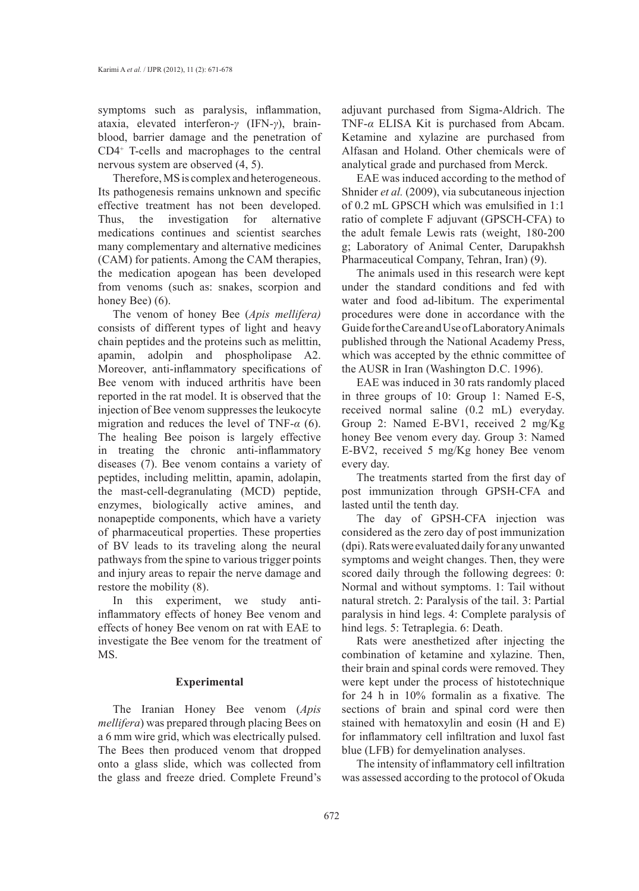symptoms such as paralysis, inflammation, ataxia, elevated interferon-*γ* (IFN-*γ*), brainblood, barrier damage and the penetration of CD4+ T-cells and macrophages to the central nervous system are observed (4, 5).

Therefore, MS is complex and heterogeneous. Its pathogenesis remains unknown and specific effective treatment has not been developed. Thus, the investigation for alternative medications continues and scientist searches many complementary and alternative medicines (CAM) for patients. Among the CAM therapies, the medication apogean has been developed from venoms (such as: snakes, scorpion and honey Bee)  $(6)$ .

The venom of honey Bee (*Apis mellifera)* consists of different types of light and heavy chain peptides and the proteins such as melittin, apamin, adolpin and phospholipase A2. Moreover, anti-inflammatory specifications of Bee venom with induced arthritis have been reported in the rat model. It is observed that the injection of Bee venom suppresses the leukocyte migration and reduces the level of TNF-*α* (6). The healing Bee poison is largely effective in treating the chronic anti-inflammatory diseases (7). Bee venom contains a variety of peptides, including melittin, apamin, adolapin, the mast-cell-degranulating (MCD) peptide, enzymes, biologically active amines, and nonapeptide components, which have a variety of pharmaceutical properties. These properties of BV leads to its traveling along the neural pathways from the spine to various trigger points and injury areas to repair the nerve damage and restore the mobility (8).

In this experiment, we study antiinflammatory effects of honey Bee venom and effects of honey Bee venom on rat with EAE to investigate the Bee venom for the treatment of MS.

### **Experimental**

The Iranian Honey Bee venom (*Apis mellifera*) was prepared through placing Bees on a 6 mm wire grid, which was electrically pulsed. The Bees then produced venom that dropped onto a glass slide, which was collected from the glass and freeze dried. Complete Freund's adjuvant purchased from Sigma-Aldrich. The TNF-*α* ELISA Kit is purchased from Abcam. Ketamine and xylazine are purchased from Alfasan and Holand. Other chemicals were of analytical grade and purchased from Merck.

EAE was induced according to the method of Shnider *et al.* (2009), via subcutaneous injection of 0.2 mL GPSCH which was emulsified in 1:1 ratio of complete F adjuvant (GPSCH-CFA) to the adult female Lewis rats (weight, 180-200 g; Laboratory of Animal Center, Darupakhsh Pharmaceutical Company, Tehran, Iran) (9).

The animals used in this research were kept under the standard conditions and fed with water and food ad-libitum. The experimental procedures were done in accordance with the Guide for the Care and Use of Laboratory Animals published through the National Academy Press, which was accepted by the ethnic committee of the AUSR in Iran (Washington D.C. 1996).

EAE was induced in 30 rats randomly placed in three groups of 10: Group 1: Named E-S, received normal saline (0.2 mL) everyday. Group 2: Named E-BV1, received 2 mg/Kg honey Bee venom every day. Group 3: Named E-BV2, received 5 mg/Kg honey Bee venom every day.

The treatments started from the first day of post immunization through GPSH-CFA and lasted until the tenth day.

The day of GPSH-CFA injection was considered as the zero day of post immunization (dpi). Rats were evaluated daily for any unwanted symptoms and weight changes. Then, they were scored daily through the following degrees: 0: Normal and without symptoms. 1: Tail without natural stretch. 2: Paralysis of the tail. 3: Partial paralysis in hind legs. 4: Complete paralysis of hind legs. 5: Tetraplegia. 6: Death.

Rats were anesthetized after injecting the combination of ketamine and xylazine. Then, their brain and spinal cords were removed. They were kept under the process of histotechnique for 24 h in 10% formalin as a fixative*.* The sections of brain and spinal cord were then stained with hematoxylin and eosin (H and E) for inflammatory cell infiltration and luxol fast blue (LFB) for demyelination analyses.

The intensity of inflammatory cell infiltration was assessed according to the protocol of Okuda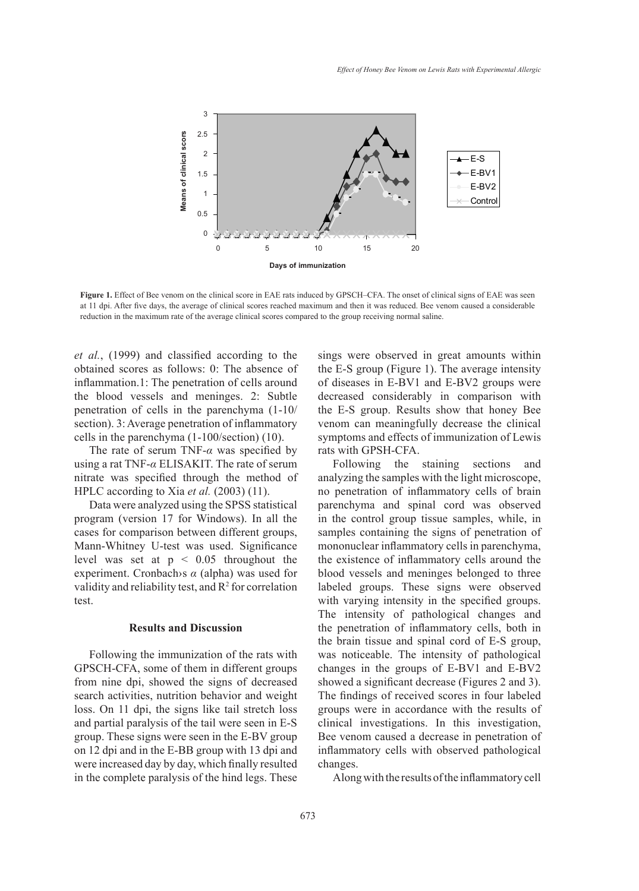

**Figure 1.** Effect of Bee venom on the clinical score in EAE rats induced by GPSCH–CFA. The onset of clinical signs of EAE was seen at 11 dpi. After five days, the average of clinical scores reached maximum and then it was reduced. Bee venom caused a considerable reduction in the maximum rate of the average clinical scores compared to the group receiving normal saline.

*et al.*, (1999) and classified according to the obtained scores as follows: 0: The absence of inflammation.1: The penetration of cells around the blood vessels and meninges. 2: Subtle penetration of cells in the parenchyma (1-10/ section). 3: Average penetration of inflammatory cells in the parenchyma (1-100/section) (10).

The rate of serum TNF-*α* was specified by using a rat TNF-*α* ELISAKIT. The rate of serum nitrate was specified through the method of HPLC according to Xia *et al.* (2003) (11).

Data were analyzed using the SPSS statistical program (version 17 for Windows). In all the cases for comparison between different groups, Mann-Whitney U-test was used. Significance level was set at p < 0.05 throughout the experiment. Cronbach›s *α* (alpha) was used for validity and reliability test, and  $\mathbb{R}^2$  for correlation test.

# **Results and Discussion**

Following the immunization of the rats with GPSCH-CFA, some of them in different groups from nine dpi, showed the signs of decreased search activities, nutrition behavior and weight loss. On 11 dpi, the signs like tail stretch loss and partial paralysis of the tail were seen in E-S group. These signs were seen in the E-BV group on 12 dpi and in the E-BB group with 13 dpi and were increased day by day, which finally resulted in the complete paralysis of the hind legs. These sings were observed in great amounts within the E-S group (Figure 1). The average intensity of diseases in E-BV1 and E-BV2 groups were decreased considerably in comparison with the E-S group. Results show that honey Bee venom can meaningfully decrease the clinical symptoms and effects of immunization of Lewis rats with GPSH-CFA.

Following the staining sections and analyzing the samples with the light microscope, no penetration of inflammatory cells of brain parenchyma and spinal cord was observed in the control group tissue samples, while, in samples containing the signs of penetration of mononuclear inflammatory cells in parenchyma, the existence of inflammatory cells around the blood vessels and meninges belonged to three labeled groups. These signs were observed with varying intensity in the specified groups. The intensity of pathological changes and the penetration of inflammatory cells, both in the brain tissue and spinal cord of E-S group, was noticeable. The intensity of pathological changes in the groups of E-BV1 and E-BV2 showed a significant decrease (Figures 2 and 3). The findings of received scores in four labeled groups were in accordance with the results of clinical investigations. In this investigation, Bee venom caused a decrease in penetration of inflammatory cells with observed pathological changes.

Along with the results of the inflammatory cell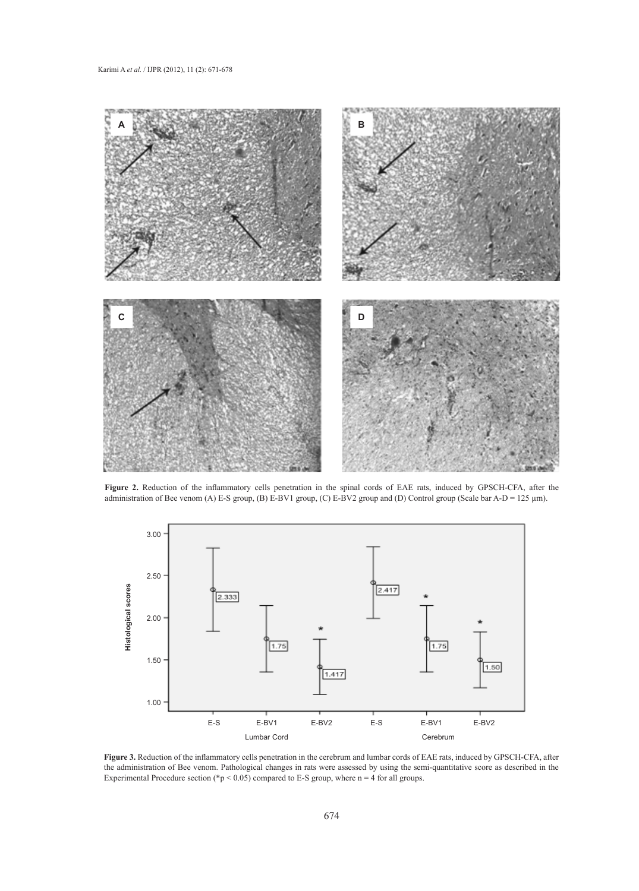

**Figure 2.** Reduction of the inflammatory cells penetration in the spinal cords of EAE rats, induced by GPSCH-CFA, after the administration of Bee venom (A) E-S group, (B) E-BV1 group, (C) E-BV2 group and (D) Control group (Scale bar A-D = 125 µm).



**Figure 3.** Reduction of the inflammatory cells penetration in the cerebrum and lumbar cords of EAE rats, induced by GPSCH-CFA, after the administration of Bee venom. Pathological changes in rats were assessed by using the semi-quantitative score as described in the Experimental Procedure section (\*p < 0.05) compared to E-S group, where  $n = 4$  for all groups.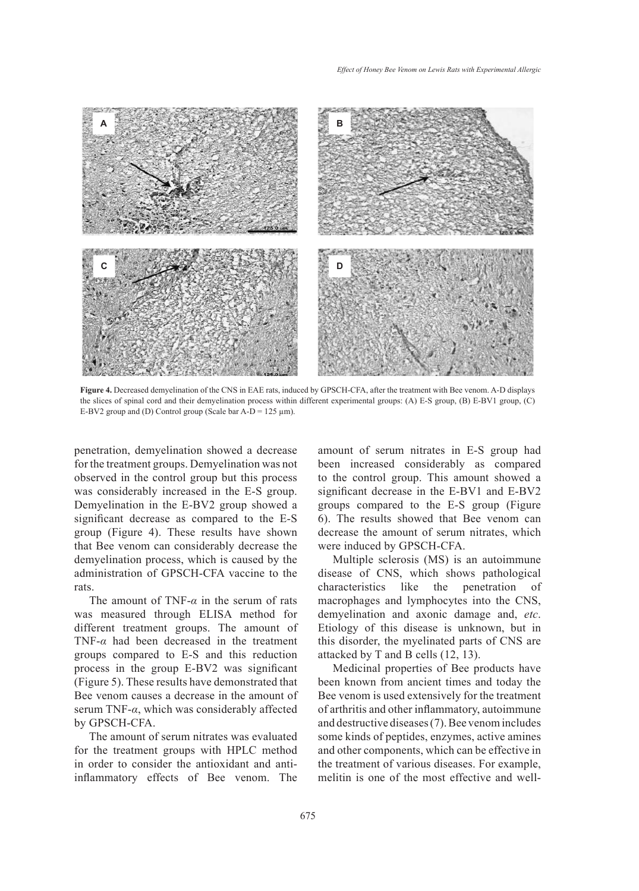

**Figure 4.** Decreased demyelination of the CNS in EAE rats, induced by GPSCH-CFA, after the treatment with Bee venom. A-D displays the slices of spinal cord and their demyelination process within different experimental groups: (A) E-S group, (B) E-BV1 group, (C) E-BV2 group and (D) Control group (Scale bar A-D = 125  $\mu$ m).

penetration, demyelination showed a decrease for the treatment groups. Demyelination was not observed in the control group but this process was considerably increased in the E-S group. Demyelination in the E-BV2 group showed a significant decrease as compared to the E-S group (Figure 4). These results have shown that Bee venom can considerably decrease the demyelination process, which is caused by the administration of GPSCH-CFA vaccine to the rats.

The amount of TNF-*α* in the serum of rats was measured through ELISA method for different treatment groups. The amount of TNF-*α* had been decreased in the treatment groups compared to E-S and this reduction process in the group E-BV2 was significant (Figure 5). These results have demonstrated that Bee venom causes a decrease in the amount of serum TNF-*α*, which was considerably affected by GPSCH-CFA.

The amount of serum nitrates was evaluated for the treatment groups with HPLC method in order to consider the antioxidant and antiinflammatory effects of Bee venom. The amount of serum nitrates in E-S group had been increased considerably as compared to the control group. This amount showed a significant decrease in the E-BV1 and E-BV2 groups compared to the E-S group (Figure 6). The results showed that Bee venom can decrease the amount of serum nitrates, which were induced by GPSCH-CFA.

Multiple sclerosis (MS) is an autoimmune disease of CNS, which shows pathological characteristics like the penetration of macrophages and lymphocytes into the CNS, demyelination and axonic damage and, *etc*. Etiology of this disease is unknown, but in this disorder, the myelinated parts of CNS are attacked by T and B cells (12, 13).

Medicinal properties of Bee products have been known from ancient times and today the Bee venom is used extensively for the treatment of arthritis and other inflammatory, autoimmune and destructive diseases (7). Bee venom includes some kinds of peptides, enzymes, active amines and other components, which can be effective in the treatment of various diseases. For example, melitin is one of the most effective and well-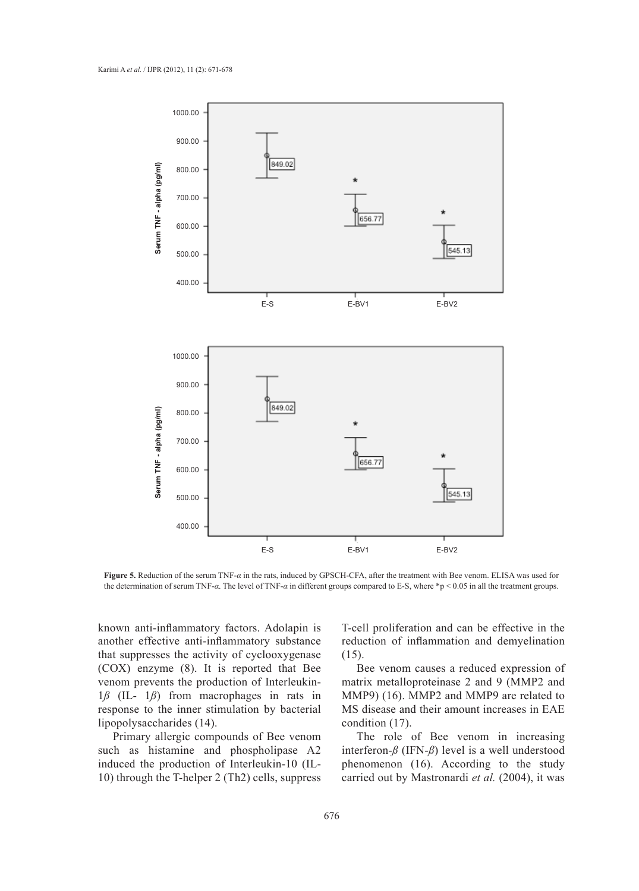

**Figure 5.** Reduction of the serum TNF-*α* in the rats, induced by GPSCH-CFA, after the treatment with Bee venom. ELISA was used for the determination of serum TNF-*α*. The level of TNF-*α* in different groups compared to E-S, where \*p < 0.05 in all the treatment groups.

known anti-inflammatory factors. Adolapin is another effective anti-inflammatory substance that suppresses the activity of cyclooxygenase (COX) enzyme (8). It is reported that Bee venom prevents the production of Interleukin-1*ß* (IL- 1*ß*) from macrophages in rats in response to the inner stimulation by bacterial lipopolysaccharides (14).

Primary allergic compounds of Bee venom such as histamine and phospholipase A2 induced the production of Interleukin-10 (IL-10) through the T-helper 2 (Th2) cells, suppress

T-cell proliferation and can be effective in the reduction of inflammation and demyelination (15).

Bee venom causes a reduced expression of matrix metalloproteinase 2 and 9 (MMP2 and MMP9) (16). MMP2 and MMP9 are related to MS disease and their amount increases in EAE condition (17).

The role of Bee venom in increasing interferon-*ß* (IFN-*ß*) level is a well understood phenomenon (16). According to the study carried out by Mastronardi *et al.* (2004), it was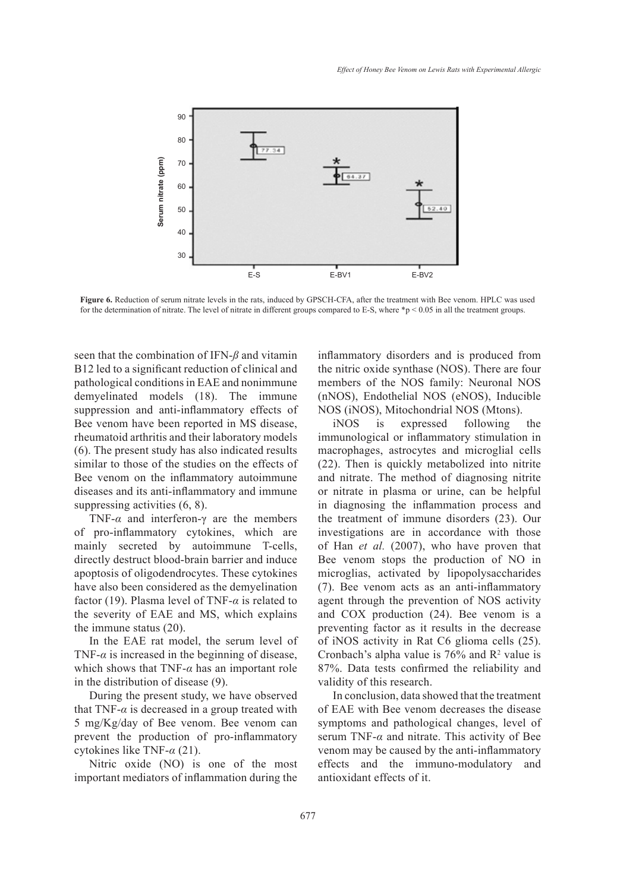

**Figure 6.** Reduction of serum nitrate levels in the rats, induced by GPSCH-CFA, after the treatment with Bee venom. HPLC was used for the determination of nitrate. The level of nitrate in different groups compared to E-S, where  $\approx p \lt 0.05$  in all the treatment groups.

seen that the combination of IFN-*ß* and vitamin B12 led to a significant reduction of clinical and pathological conditions in EAE and nonimmune demyelinated models (18). The immune suppression and anti-inflammatory effects of Bee venom have been reported in MS disease, rheumatoid arthritis and their laboratory models (6). The present study has also indicated results similar to those of the studies on the effects of Bee venom on the inflammatory autoimmune diseases and its anti-inflammatory and immune suppressing activities (6, 8).

TNF-*α* and interferon-γ are the members of pro-inflammatory cytokines, which are mainly secreted by autoimmune T-cells, directly destruct blood-brain barrier and induce apoptosis of oligodendrocytes. These cytokines have also been considered as the demyelination factor (19). Plasma level of TNF-*α* is related to the severity of EAE and MS, which explains the immune status (20).

In the EAE rat model, the serum level of TNF- $\alpha$  is increased in the beginning of disease, which shows that TNF-*α* has an important role in the distribution of disease (9).

During the present study, we have observed that TNF- $\alpha$  is decreased in a group treated with 5 mg/Kg/day of Bee venom. Bee venom can prevent the production of pro-inflammatory cytokines like TNF-*α* (21).

Nitric oxide (NO) is one of the most important mediators of inflammation during the inflammatory disorders and is produced from the nitric oxide synthase (NOS). There are four members of the NOS family: Neuronal NOS (nNOS), Endothelial NOS (eNOS), Inducible NOS (iNOS), Mitochondrial NOS (Mtons).

iNOS is expressed following the immunological or inflammatory stimulation in macrophages, astrocytes and microglial cells (22). Then is quickly metabolized into nitrite and nitrate. The method of diagnosing nitrite or nitrate in plasma or urine, can be helpful in diagnosing the inflammation process and the treatment of immune disorders (23). Our investigations are in accordance with those of Han *et al.* (2007), who have proven that Bee venom stops the production of NO in microglias, activated by lipopolysaccharides (7). Bee venom acts as an anti-inflammatory agent through the prevention of NOS activity and COX production (24). Bee venom is a preventing factor as it results in the decrease of iNOS activity in Rat C6 glioma cells (25). Cronbach's alpha value is  $76%$  and  $R<sup>2</sup>$  value is 87%. Data tests confirmed the reliability and validity of this research.

In conclusion, data showed that the treatment of EAE with Bee venom decreases the disease symptoms and pathological changes, level of serum TNF-*α* and nitrate. This activity of Bee venom may be caused by the anti-inflammatory effects and the immuno-modulatory and antioxidant effects of it.